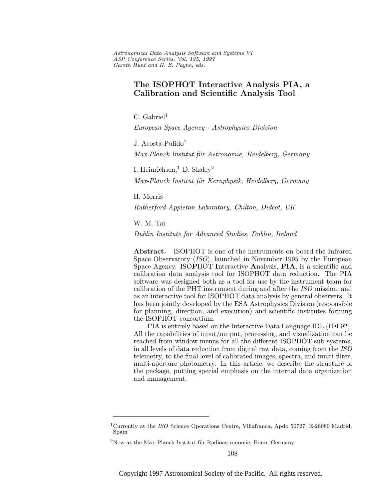Astronomical Data Analysis Software and Systems VI ASP Conference Series, Vol. 125, 1997 Gareth Hunt and H. E. Payne, e ds.

# **The ISOPHOT Interactive Analysis PIA, a Calibration and Scientific Analysis Tool**

 $C.$  Gabriel<sup>1</sup>

European Space Agency - Astrophysics Division

J. Acosta-Pulido<sup>1</sup>

Max-Planck Institut für Astronomie, Heidelberg, Germany

I. Heinrichsen,  $\overline{D}$ . Skaley<sup>2</sup>

Max-Planck Institut für Kernphysik, Heidelberg, Germany

H. Morris

Rutherford-Appleton Laboratory, Chilton, Didcot, UK

W.-M. Tai

Dublin Institute for Advanced Studies, Dublin, Ireland

**Abstract.** ISOPHOT is one of the instruments on board the Infrared Space Observatory (ISO), launched in November 1995 by the European Space Agency. ISO**P**HOT **I**nteractive **A**nalysis, **PIA**, is a scientific and calibration data analysis tool for ISOPHOT data reduction. The PIA software was designed both as a tool for use by the instrument team for calibration of the PHT instrument during and after the ISO mission, and as an interactive tool for ISOPHOT data analysis by general observers. It has been jointly developed by the ESA Astrophysics Division (responsible for planning, direction, and execution) and scientific institutes forming the ISOPHOT consortium.

PIA is entirely based on the Interactive Data Language IDL (IDL92). All the capabilities of input/output, processing, and visualization can be reached from window menus for all the different ISOPHOT sub-systems, in all levels of data reduction from digital raw data, coming from the ISO telemetry, to the final level of calibrated images, spectra, and multi-filter, multi-aperture photometry. In this article, we describe the structure of the package, putting special emphasis on the internal data organization and management.

<sup>&</sup>lt;sup>1</sup>Currently at the *ISO* Science Operations Centre, Villafranca, Apdo 50727, E-28080 Madrid, Spain

 $2$ Now at the Max-Planck Institut für Radioastronomie, Bonn, Germany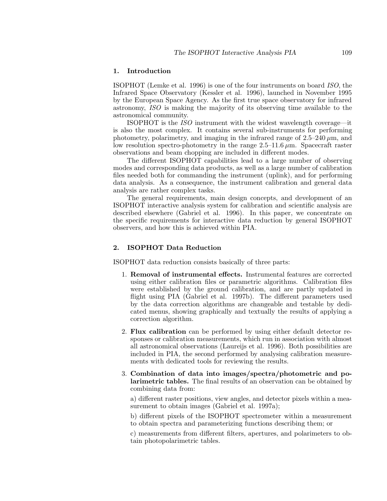### **1. Introduction**

ISOPHOT (Lemke et al. 1996) is one of the four instruments on board ISO, the Infrared Space Observatory (Kessler et al. 1996), launched in November 1995 by the European Space Agency. As the first true space observatory for infrared astronomy, ISO is making the majority of its observing time available to the astronomical community.

ISOPHOT is the ISO instrument with the widest wavelength coverage—it is also the most complex. It contains several sub-instruments for performing photometry, polarimetry, and imaging in the infrared range of  $2.5-240 \,\mu m$ , and low resolution spectro-photometry in the range  $2.5-11.6 \,\mu$ m. Spacecraft raster observations and beam chopping are included in different modes.

The different ISOPHOT capabilities lead to a large number of observing modes and corresponding data products, as well as a large number of calibration files needed both for commanding the instrument (uplink), and for performing data analysis. As a consequence, the instrument calibration and general data analysis are rather complex tasks.

The general requirements, main design concepts, and development of an ISOPHOT interactive analysis system for calibration and scientific analysis are described elsewhere (Gabriel et al. 1996). In this paper, we concentrate on the specific requirements for interactive data reduction by general ISOPHOT observers, and how this is achieved within PIA.

## **2. ISOPHOT Data Reduction**

ISOPHOT data reduction consists basically of three parts:

- 1. **Removal of instrumental effects.** Instrumental features are corrected using either calibration files or parametric algorithms. Calibration files were established by the ground calibration, and are partly updated in flight using PIA (Gabriel et al. 1997b). The different parameters used by the data correction algorithms are changeable and testable by dedicated menus, showing graphically and textually the results of applying a correction algorithm.
- 2. **Flux calibration** can be performed by using either default detector responses or calibration measurements, which run in association with almost all astronomical observations (Laureijs et al. 1996). Both possibilities are included in PIA, the second performed by analysing calibration measurements with dedicated tools for reviewing the results.
- 3. **Combination of data into images/spectra/photometric and polarimetric tables.** The final results of an observation can be obtained by combining data from:

a) different raster positions, view angles, and detector pixels within a measurement to obtain images (Gabriel et al. 1997a);

b) different pixels of the ISOPHOT spectrometer within a measurement to obtain spectra and parameterizing functions describing them; or

c) measurements from different filters, apertures, and polarimeters to obtain photopolarimetric tables.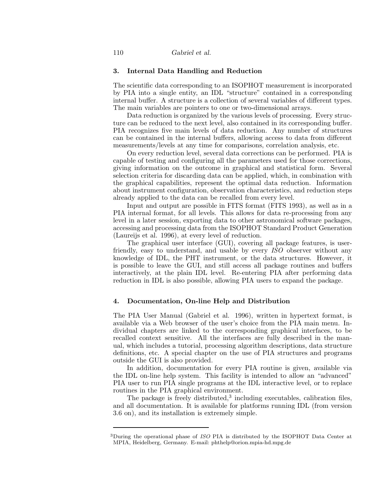### **3. Internal Data Handling and Reduction**

The scientific data corresponding to an ISOPHOT measurement is incorporated by PIA into a single entity, an IDL "structure" contained in a corresponding internal buffer. A structure is a collection of several variables of different types. The main variables are pointers to one or two-dimensional arrays.

Data reduction is organized by the various levels of processing. Every structure can be reduced to the next level, also contained in its corresponding buffer. PIA recognizes five main levels of data reduction. Any number of structures can be contained in the internal buffers, allowing access to data from different measurements/levels at any time for comparisons, correlation analysis, etc.

On every reduction level, several data corrections can be performed. PIA is capable of testing and configuring all the parameters used for those corrections, giving information on the outcome in graphical and statistical form. Several selection criteria for discarding data can be applied, which, in combination with the graphical capabilities, represent the optimal data reduction. Information about instrument configuration, observation characteristics, and reduction steps already applied to the data can be recalled from every level.

Input and output are possible in FITS format (FITS 1993), as well as in a PIA internal format, for all levels. This allows for data re-processing from any level in a later session, exporting data to other astronomical software packages, accessing and processing data from the ISOPHOT Standard Product Generation (Laureijs et al. 1996), at every level of reduction.

The graphical user interface (GUI), covering all package features, is userfriendly, easy to understand, and usable by every ISO observer without any knowledge of IDL, the PHT instrument, or the data structures. However, it is possible to leave the GUI, and still access all package routines and buffers interactively, at the plain IDL level. Re-entering PIA after performing data reduction in IDL is also possible, allowing PIA users to expand the package.

#### **4. Documentation, On-line Help and Distribution**

The PIA User Manual (Gabriel et al. 1996), written in hypertext format, is available via a Web browser of the user's choice from the PIA main menu. Individual chapters are linked to the corresponding graphical interfaces, to be recalled context sensitive. All the interfaces are fully described in the manual, which includes a tutorial, processing algorithm descriptions, data structure definitions, etc. A special chapter on the use of PIA structures and programs outside the GUI is also provided.

In addition, documentation for every PIA routine is given, available via the IDL on-line help system. This facility is intended to allow an "advanced" PIA user to run PIA single programs at the IDL interactive level, or to replace routines in the PIA graphical environment.

The package is freely distributed,<sup>3</sup> including executables, calibration files, and all documentation. It is available for platforms running IDL (from version 3.6 on), and its installation is extremely simple.

<sup>&</sup>lt;sup>3</sup>During the operational phase of *ISO* PIA is distributed by the ISOPHOT Data Center at MPIA, Heidelberg, Germany. E-mail: phthelp@orion.mpia-hd.mpg.de